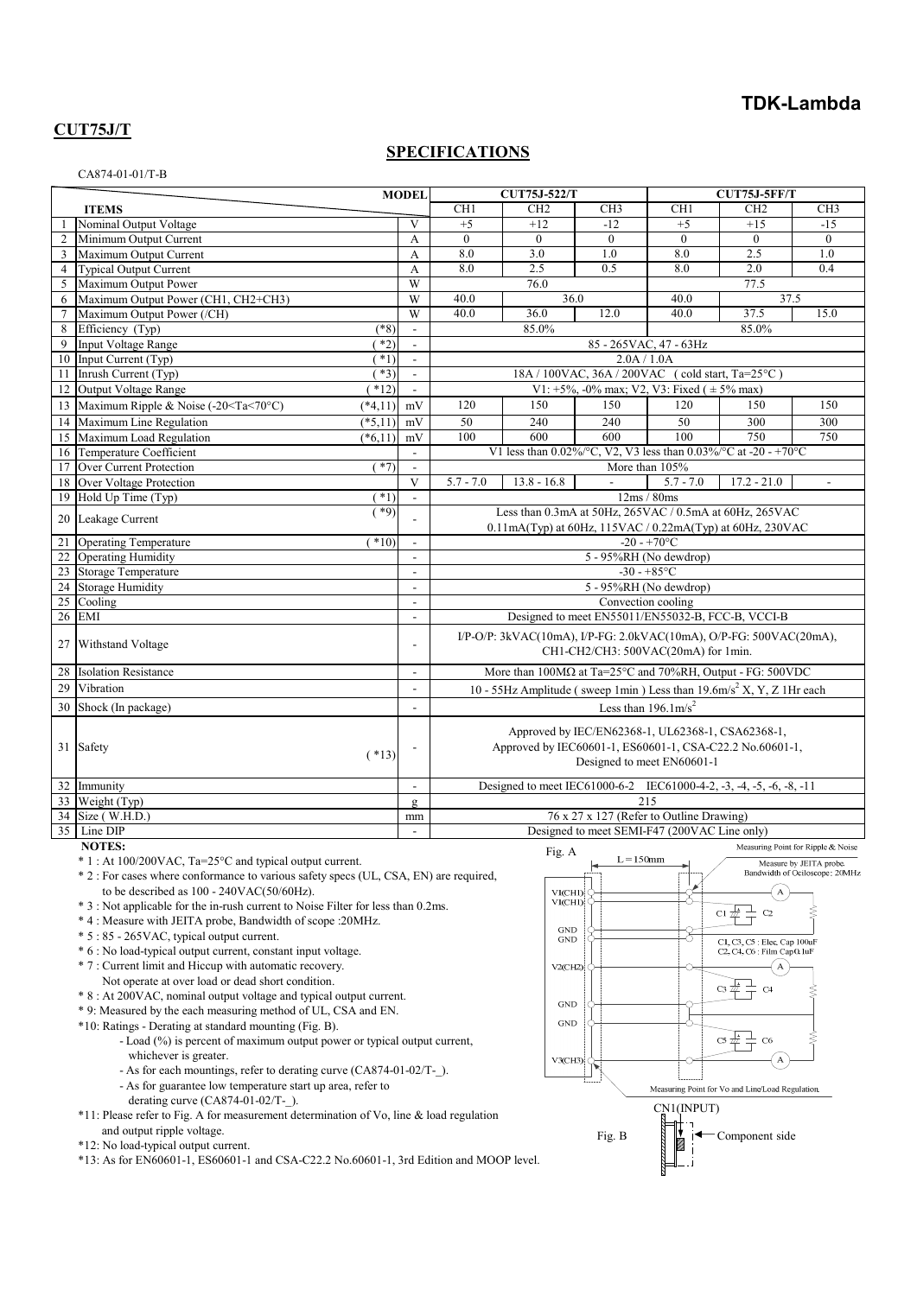# **TDK-Lambda**

# **CUT75J/T**

### **SPECIFICATIONS**

#### CA874-01-01/T-B

|                 |                                                                                                                                                                                                                                                                                         | <b>MODEL</b> |                          | <b>CUT75J-522/T</b>                                                                                                                         |                 |                 | <b>CUT75J-5FF/T</b> |                                                                         |                 |
|-----------------|-----------------------------------------------------------------------------------------------------------------------------------------------------------------------------------------------------------------------------------------------------------------------------------------|--------------|--------------------------|---------------------------------------------------------------------------------------------------------------------------------------------|-----------------|-----------------|---------------------|-------------------------------------------------------------------------|-----------------|
|                 | <b>ITEMS</b>                                                                                                                                                                                                                                                                            |              |                          | CH <sub>1</sub>                                                                                                                             | CH <sub>2</sub> | CH <sub>3</sub> | CH1                 | CH <sub>2</sub>                                                         | CH <sub>3</sub> |
|                 | Nominal Output Voltage                                                                                                                                                                                                                                                                  |              | V                        | $+5$                                                                                                                                        | $+12$           | $-12$           | $+5$                | $+15$                                                                   | $-15$           |
| $\overline{2}$  | Minimum Output Current                                                                                                                                                                                                                                                                  |              | А                        | $\Omega$                                                                                                                                    | $\Omega$        | $\Omega$        | $\theta$            | $\Omega$                                                                | $\mathbf{0}$    |
| $\mathfrak{Z}$  | Maximum Output Current                                                                                                                                                                                                                                                                  |              | A                        | 8.0                                                                                                                                         | 3.0             | 1.0             | 8.0                 | 2.5                                                                     | 1.0             |
| $\overline{4}$  | Typical Output Current                                                                                                                                                                                                                                                                  |              | A                        | 8.0                                                                                                                                         | 2.5             | 0.5             | 8.0                 | 2.0                                                                     | 0.4             |
| 5               | Maximum Output Power                                                                                                                                                                                                                                                                    |              | W                        |                                                                                                                                             | 76.0            |                 |                     | 77.5                                                                    |                 |
| 6               | Maximum Output Power (CH1, CH2+CH3)                                                                                                                                                                                                                                                     |              | W                        | 40.0<br>36.0<br>40.0<br>37.5                                                                                                                |                 |                 |                     |                                                                         |                 |
| $7\phantom{.0}$ | Maximum Output Power (/CH)                                                                                                                                                                                                                                                              |              | W                        | 40.0                                                                                                                                        | 36.0            | 12.0            | 40.0                | 37.5                                                                    | 15.0            |
| 8               | Efficiency (Typ)                                                                                                                                                                                                                                                                        | $(*8)$       | $\overline{\phantom{a}}$ | 85.0%<br>85.0%                                                                                                                              |                 |                 |                     |                                                                         |                 |
| 9               | Input Voltage Range                                                                                                                                                                                                                                                                     | $*2)$        | $\mathbf{r}$             | 85 - 265 VAC, 47 - 63 Hz                                                                                                                    |                 |                 |                     |                                                                         |                 |
|                 | 10 Input Current (Typ)                                                                                                                                                                                                                                                                  | $*1)$        | $\overline{\phantom{a}}$ | 2.0A / 1.0A                                                                                                                                 |                 |                 |                     |                                                                         |                 |
|                 | 11 Inrush Current (Typ)                                                                                                                                                                                                                                                                 | $*3)$        | $\overline{\phantom{a}}$ | 18A / 100VAC, 36A / 200VAC (cold start, Ta=25°C)                                                                                            |                 |                 |                     |                                                                         |                 |
|                 | 12 Output Voltage Range                                                                                                                                                                                                                                                                 | $*12)$       | $\mathbb{Z}^2$           | V1: +5%, -0% max; V2, V3: Fixed ( $\pm$ 5% max)                                                                                             |                 |                 |                     |                                                                         |                 |
| 13              | Maximum Ripple & Noise (-20 <ta<70°c)< td=""><td><math>(*4,11)</math></td><td>mV</td><td>120</td><td>150</td><td>150</td><td>120</td><td>150</td><td>150</td></ta<70°c)<>                                                                                                               | $(*4,11)$    | mV                       | 120                                                                                                                                         | 150             | 150             | 120                 | 150                                                                     | 150             |
|                 | 14 Maximum Line Regulation                                                                                                                                                                                                                                                              | $(*5,11)$    | mV                       | 50                                                                                                                                          | 240             | 240             | 50                  | 300                                                                     | 300             |
|                 | 15 Maximum Load Regulation                                                                                                                                                                                                                                                              | $(*6.11)$    | mV                       | 100                                                                                                                                         | 600             | 600             | 100                 | 750                                                                     | 750             |
|                 | 16 Temperature Coefficient                                                                                                                                                                                                                                                              |              | $\sim$                   |                                                                                                                                             |                 |                 |                     | V1 less than $0.02\%$ /°C, V2, V3 less than $0.03\%$ /°C at -20 - +70°C |                 |
| 17              | Over Current Protection                                                                                                                                                                                                                                                                 | $*7)$        | $\overline{a}$           | More than 105%                                                                                                                              |                 |                 |                     |                                                                         |                 |
|                 | 18 Over Voltage Protection                                                                                                                                                                                                                                                              |              | V                        | $5.7 - 7.0$                                                                                                                                 | $13.8 - 16.8$   | $\overline{a}$  | $5.7 - 7.0$         | $17.2 - 21.0$                                                           |                 |
| 19              | Hold Up Time (Typ)                                                                                                                                                                                                                                                                      | $*1)$        | $\overline{a}$           |                                                                                                                                             |                 |                 | 12ms/80ms           |                                                                         |                 |
|                 | 20 Leakage Current                                                                                                                                                                                                                                                                      | $(*9)$       |                          | Less than 0.3mA at 50Hz, 265VAC / 0.5mA at 60Hz, 265VAC                                                                                     |                 |                 |                     |                                                                         |                 |
|                 |                                                                                                                                                                                                                                                                                         |              |                          | $0.11mA(Typ)$ at 60Hz, 115VAC / 0.22mA(Typ) at 60Hz, 230VAC                                                                                 |                 |                 |                     |                                                                         |                 |
| $\overline{21}$ | <b>Operating Temperature</b>                                                                                                                                                                                                                                                            | $(*10)$      | $\blacksquare$           | $-20 - +70$ °C                                                                                                                              |                 |                 |                     |                                                                         |                 |
|                 | 22 Operating Humidity                                                                                                                                                                                                                                                                   |              | $\sim$                   | 5 - 95%RH (No dewdrop)                                                                                                                      |                 |                 |                     |                                                                         |                 |
|                 | 23 Storage Temperature                                                                                                                                                                                                                                                                  |              | $\blacksquare$           | $-30 - +85$ °C                                                                                                                              |                 |                 |                     |                                                                         |                 |
|                 | 24 Storage Humidity                                                                                                                                                                                                                                                                     |              | $\overline{a}$           | 5 - 95%RH (No dewdrop)                                                                                                                      |                 |                 |                     |                                                                         |                 |
|                 | 25 Cooling                                                                                                                                                                                                                                                                              |              | $\sim$                   | Convection cooling                                                                                                                          |                 |                 |                     |                                                                         |                 |
| 26              | <b>EMI</b>                                                                                                                                                                                                                                                                              |              | $\sim$                   | Designed to meet EN55011/EN55032-B, FCC-B, VCCI-B                                                                                           |                 |                 |                     |                                                                         |                 |
| 27              | Withstand Voltage                                                                                                                                                                                                                                                                       |              | $\overline{a}$           | I/P-O/P: 3kVAC(10mA), I/P-FG: 2.0kVAC(10mA), O/P-FG: 500VAC(20mA),<br>CH1-CH2/CH3: 500VAC(20mA) for 1min.                                   |                 |                 |                     |                                                                         |                 |
| 28              | <b>Isolation Resistance</b>                                                                                                                                                                                                                                                             |              | $\overline{\phantom{a}}$ | More than 100MΩ at Ta=25°C and 70%RH, Output - FG: 500VDC                                                                                   |                 |                 |                     |                                                                         |                 |
| 29              | Vibration                                                                                                                                                                                                                                                                               |              | $\overline{a}$           | 10 - 55Hz Amplitude (sweep 1min) Less than $19.6 \text{m/s}^2$ X, Y, Z 1Hr each                                                             |                 |                 |                     |                                                                         |                 |
|                 | 30 Shock (In package)                                                                                                                                                                                                                                                                   |              | $\sim$                   | Less than $196.1 \text{m/s}^2$                                                                                                              |                 |                 |                     |                                                                         |                 |
|                 |                                                                                                                                                                                                                                                                                         |              |                          |                                                                                                                                             |                 |                 |                     |                                                                         |                 |
|                 | 31 Safety                                                                                                                                                                                                                                                                               | $(*13)$      |                          | Approved by IEC/EN62368-1, UL62368-1, CSA62368-1,<br>Approved by IEC60601-1, ES60601-1, CSA-C22.2 No.60601-1,<br>Designed to meet EN60601-1 |                 |                 |                     |                                                                         |                 |
|                 | 32 Immunity                                                                                                                                                                                                                                                                             |              |                          |                                                                                                                                             |                 |                 |                     | Designed to meet IEC61000-6-2 IEC61000-4-2, -3, -4, -5, -6, -8, -11     |                 |
| 33              | Weight(Typ)                                                                                                                                                                                                                                                                             |              | $\mathfrak{g}$           | 215                                                                                                                                         |                 |                 |                     |                                                                         |                 |
|                 | 34 Size (W.H.D.)                                                                                                                                                                                                                                                                        |              | mm                       | 76 x 27 x 127 (Refer to Outline Drawing)                                                                                                    |                 |                 |                     |                                                                         |                 |
|                 | 35 Line DIP                                                                                                                                                                                                                                                                             |              | $\blacksquare$           | Designed to meet SEMI-F47 (200VAC Line only)                                                                                                |                 |                 |                     |                                                                         |                 |
|                 | <b>NOTES:</b>                                                                                                                                                                                                                                                                           |              |                          | Measuring Point for Ripple & 1<br>Fig. A                                                                                                    |                 |                 |                     |                                                                         |                 |
|                 | $L = 150$ mm<br>$* 1: At 100/200VAC$ , Ta=25°C and typical output current.<br>Measure by JEITA prob<br>Bandwidth of Ociloscope: 2<br>* 2 : For cases where conformance to various safety specs (UL, CSA, EN) are required,<br>to be described as 100 - 240VAC(50/60Hz).<br>$\mathbf{A}$ |              |                          |                                                                                                                                             |                 |                 |                     |                                                                         |                 |
| VI(CHI)         |                                                                                                                                                                                                                                                                                         |              |                          |                                                                                                                                             |                 |                 |                     |                                                                         |                 |

- \* 3 : Not applicable for the in-rush current to Noise Filter for less than 0.2ms.
- \* 4 : Measure with JEITA probe, Bandwidth of scope :20MHz.
- \* 5 : 85 265VAC, typical output current.
- \* 6 : No load-typical output current, constant input voltage.
- \* 7 : Current limit and Hiccup with automatic recovery.
	- Not operate at over load or dead short condition.
- \* 8 : At 200VAC, nominal output voltage and typical output current.
- \* 9: Measured by the each measuring method of UL, CSA and EN.
- \*10: Ratings Derating at standard mounting (Fig. B).
	- Load (%) is percent of maximum output power or typical output current, whichever is greater.
	- As for each mountings, refer to derating curve (CA874-01-02/T-).
	- As for guarantee low temperature start up area, refer to derating curve (CA874-01-02/T-\_).
- \*11: Please refer to Fig. A for measurement determination of Vo, line & load regulation and output ripple voltage.
- \*12: No load-typical output current.
- \*13: As for EN60601-1, ES60601-1 and CSA-C22.2 No.60601-1, 3rd Edition and MOOP level.